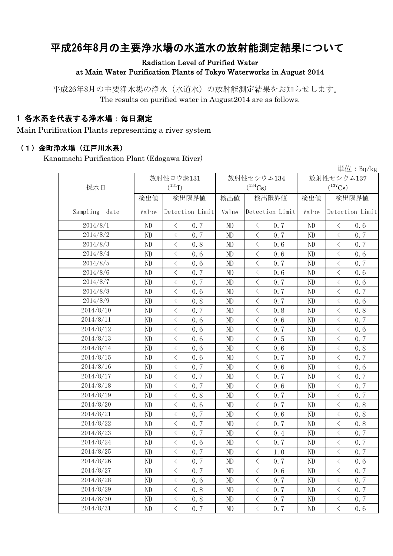# 平成26年8月の主要浄水場の水道水の放射能測定結果について

#### Radiation Level of Purified Water at Main Water Purification Plants of Tokyo Waterworks in August 2014

平成26年8月の主要浄水場の浄水(水道水)の放射能測定結果をお知らせします。 The results on purified water in August2014 are as follows.

### 1 各水系を代表する浄水場:毎日測定

Main Purification Plants representing a river system

#### (1)金町浄水場(江戸川水系)

Kanamachi Purification Plant (Edogawa River)

| 早位:Bq/kg         |       |                                                 |       |                                                                                                                                                                                     |            |                                                 |  |  |  |
|------------------|-------|-------------------------------------------------|-------|-------------------------------------------------------------------------------------------------------------------------------------------------------------------------------------|------------|-------------------------------------------------|--|--|--|
|                  |       | 放射性ヨウ素131                                       |       | 放射性セシウム134                                                                                                                                                                          | 放射性セシウム137 |                                                 |  |  |  |
| 採水日              |       | $(^{131}I)$                                     |       | $(^{134}Cs)$                                                                                                                                                                        |            | $(^{137}\mathrm{Cs})$                           |  |  |  |
|                  | 検出値   | 検出限界値                                           | 検出値   | 検出限界値                                                                                                                                                                               | 検出値        | 検出限界値                                           |  |  |  |
| Sampling<br>date | Value | Detection Limit                                 | Value | Detection Limit                                                                                                                                                                     | Value      | Detection Limit                                 |  |  |  |
| 2014/8/1         | ND    | $\, <\,$<br>0.7                                 | ND    | $\lt$<br>0.7                                                                                                                                                                        | ND         | $\, < \,$<br>0.6                                |  |  |  |
| 2014/8/2         | ND    | $\langle$<br>0.7                                | ND    | $\lt$<br>0.7                                                                                                                                                                        | ND         | $\lt$<br>0.7                                    |  |  |  |
| 2014/8/3         | ND    | $\langle$<br>0.8                                | ND    | $\lt$<br>0.6                                                                                                                                                                        | ND         | $\lt$<br>0.7                                    |  |  |  |
| 2014/8/4         | ND    | $\,$ $\,$ $\,$<br>0.6                           | ND    | $\langle$<br>0.6                                                                                                                                                                    | ND         | $\overline{\left\langle \right\rangle }$<br>0.6 |  |  |  |
| 2014/8/5         | ND    | $\overline{\left\langle \right\rangle }$<br>0.6 | ND    | $\overline{\left\langle \right\rangle }$<br>0.7                                                                                                                                     | ND         | $\overline{\left\langle \right\rangle }$<br>0.7 |  |  |  |
| 2014/8/6         | ND    | $\langle$<br>0.7                                | ND    | $\overline{\left\langle \right\rangle }$<br>0.6                                                                                                                                     | ND         | $\langle$<br>0.6                                |  |  |  |
| 2014/8/7         | ND    | $\bigg\langle$<br>0.7                           | ND    | $\overline{\left\langle \right. }% ,\left\langle \overline{\left\langle \right. }% ,\left\langle \overline{\left\langle \right. }\right\rangle \right\rangle \left. \right.$<br>0.7 | ND         | $\langle$<br>0.6                                |  |  |  |
| 2014/8/8         | ND    | $\overline{\left\langle \right\rangle }$<br>0.6 | ND    | $\overline{\left\langle \right\rangle }$<br>0.7                                                                                                                                     | ND         | $\overline{\left\langle \right\rangle }$<br>0.7 |  |  |  |
| 2014/8/9         | ND    | $\overline{\left\langle \right\rangle }$<br>0.8 | ND    | $\overline{\left\langle \right\rangle }$<br>0.7                                                                                                                                     | ND         | $\langle$<br>0.6                                |  |  |  |
| 2014/8/10        | ND    | $\,$ $\,$ $\,$<br>0.7                           | ND    | $\lt$<br>0.8                                                                                                                                                                        | ND         | $\lt$<br>0.8                                    |  |  |  |
| 2014/8/11        | ND    | $\langle$<br>0.6                                | ND    | $\overline{\left\langle \right\rangle }$<br>0.6                                                                                                                                     | ND         | $\overline{\left\langle \right\rangle }$<br>0.7 |  |  |  |
| 2014/8/12        | ND    | $\,$ $\,$ $\,$<br>0.6                           | ND    | $\overline{\left\langle \right\rangle }$<br>0.7                                                                                                                                     | ND         | $\overline{\left\langle \right\rangle }$<br>0.6 |  |  |  |
| 2014/8/13        | ND    | $\lt$<br>0, 6                                   | ND    | $\langle$<br>0.5                                                                                                                                                                    | ND         | $\lt$<br>0.7                                    |  |  |  |
| 2014/8/14        | ND    | $\langle$<br>0.6                                | ND    | $\overline{\left\langle \right\rangle }$<br>0.6                                                                                                                                     | ND         | $\langle$<br>0.8                                |  |  |  |
| 2014/8/15        | ND    | $\,$ $\,$ $\,$<br>0.6                           | ND    | $\lt$<br>0.7                                                                                                                                                                        | ND         | $\lt$<br>0.7                                    |  |  |  |
| 2014/8/16        | ND    | $\lt$<br>0.7                                    | ND    | $\langle$<br>0.6                                                                                                                                                                    | ND         | $\lt$<br>0.6                                    |  |  |  |
| 2014/8/17        | ND    | $\lt$<br>0.7                                    | ND    | $\langle$<br>0.7                                                                                                                                                                    | ND         | $\langle$<br>0.7                                |  |  |  |
| 2014/8/18        | ND    | $\langle$<br>0.7                                | ND    | $\langle$<br>0.6                                                                                                                                                                    | ND         | $\bigg\langle$<br>0.7                           |  |  |  |
| 2014/8/19        | ND    | $\hspace{0.5cm} <\hspace{0.5cm}$<br>0.8         | ND    | $\lt$<br>0.7                                                                                                                                                                        | ND         | $\langle$<br>0.7                                |  |  |  |
| 2014/8/20        | ND    | $\,$ $\,$ $\,$<br>0.6                           | ND    | $\lt$<br>0.7                                                                                                                                                                        | ND         | $\overline{\left\langle \right\rangle }$<br>0.8 |  |  |  |
| 2014/8/21        | ND    | $\langle$<br>0.7                                | ND    | 0.6<br>$\lt$                                                                                                                                                                        | ND         | $\lt$<br>0.8                                    |  |  |  |
| 2014/8/22        | ND    | $\, < \,$<br>0.7                                | ND    | $\lt$<br>0.7                                                                                                                                                                        | ND         | 0.8<br>$\lt$                                    |  |  |  |
| 2014/8/23        | ND    | $\hspace{0.1mm} <\hspace{0.1mm}$<br>0.7         | ND    | $\lt$<br>0.4                                                                                                                                                                        | ND         | 0.7<br>$\lt$                                    |  |  |  |
| 2014/8/24        | ND    | $\,<\,$<br>0.6                                  | ND    | $\langle$<br>0.7                                                                                                                                                                    | ND         | $\,$ $\,$ $\,$<br>0.7                           |  |  |  |
| 2014/8/25        | ND    | $\lt$<br>0.7                                    | ND    | $\langle$<br>1.0                                                                                                                                                                    | ND         | $\lt$<br>0.7                                    |  |  |  |
| 2014/8/26        | ND    | $\,<\,$<br>0.7                                  | ND    | $\lt$<br>0.7                                                                                                                                                                        | ND         | $\,$ $\,$ $\,$<br>0.6                           |  |  |  |
| 2014/8/27        | ND    | $\langle$<br>0.7                                | ND    | $\lt$<br>0.6                                                                                                                                                                        | ND         | $\lt$<br>0.7                                    |  |  |  |
| 2014/8/28        | ND    | $\,$ $\,$ $\,$<br>0.6                           | ND    | $\lt$<br>0.7                                                                                                                                                                        | ND         | $\lt$<br>0.7                                    |  |  |  |
| 2014/8/29        | ND    | $\lt$<br>0.8                                    | ND    | $\lt$<br>0.7                                                                                                                                                                        | ND         | $\lt$<br>0.7                                    |  |  |  |
| 2014/8/30        | ND    | $\,$ $\,$ $\,$<br>0.8                           | ND    | $\overline{\left\langle \right\rangle }$<br>0.7                                                                                                                                     | ND         | $\bigg\langle$<br>0.7                           |  |  |  |
| 2014/8/31        | ND    | $\langle$<br>0.7                                | ND    | $\langle$<br>0.7                                                                                                                                                                    | ND         | $\langle$<br>0.6                                |  |  |  |

 $\mathcal{L}(t) = \mathcal{L}(\mathcal{L})$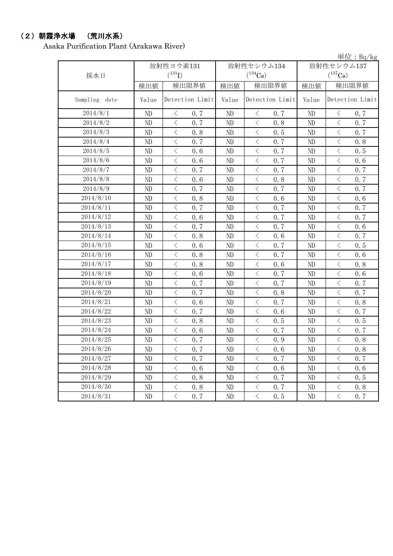### (2)朝霞浄水場 (荒川水系)

Asaka Purification Plant (Arakawa River)

単位:Bq/kg

| 採水日           |          | 放射性ヨウ素131<br>$(^{131}I)$                        |       | 放射性セシウム134<br>$(^{134}Cs)$                      | 放射性セシウム137<br>$(^{137}\mathrm{Cs})$ |                                                 |  |
|---------------|----------|-------------------------------------------------|-------|-------------------------------------------------|-------------------------------------|-------------------------------------------------|--|
|               | 検出値      | 検出限界値                                           | 検出値   | 検出限界値                                           | 検出値                                 | 検出限界値                                           |  |
| Sampling date | Value    | Detection Limit                                 | Value | Detection Limit                                 | Value                               | Detection Limit                                 |  |
| 2014/8/1      | ND       | 0.7<br>$\langle$                                | ND    | 0.7<br>$\langle$                                | ND                                  | 0.7<br>$\lt$                                    |  |
| 2014/8/2      | ND       | $\langle$<br>0.7                                | ND    | $\langle$<br>0.8                                | ND                                  | $\overline{\left\langle \right\rangle }$<br>0.7 |  |
| 2014/8/3      | ND       | $\lt$<br>0.8                                    | ND    | $\,$ $\,$ $\,$<br>0.5                           | ND                                  | $\langle$<br>0.7                                |  |
| 2014/8/4      | ND       | $\langle$<br>0.7                                | ND    | $\,$ $\,$ $\,$<br>0.7                           | ND                                  | $\langle$<br>0.8                                |  |
| 2014/8/5      | ND       | $\langle$<br>0.6                                | ND    | $\,$ $\,$ $\,$<br>0.7                           | ND                                  | $\,$ $\,$ $\,$<br>0.5                           |  |
| 2014/8/6      | ND       | $\langle$<br>0.6                                | ND    | $\langle$<br>0.7                                | ND                                  | $\overline{\left\langle \right\rangle }$<br>0.6 |  |
| 2014/8/7      | ND       | $\overline{\left\langle \right\rangle }$<br>0.7 | ND    | $\langle$<br>0.7                                | $\rm ND$                            | $\langle$<br>0.7                                |  |
| 2014/8/8      | ND       | $\langle$<br>0.6                                | ND    | $\langle$<br>0.8                                | $\rm ND$                            | $\overline{\left\langle \right\rangle }$<br>0.7 |  |
| 2014/8/9      | ND       | $\overline{\left\langle \right\rangle }$<br>0.7 | ND    | $\langle$<br>0.7                                | ND                                  | $\langle$<br>0.7                                |  |
| 2014/8/10     | ND       | $\langle$<br>0.8                                | ND    | $\langle$<br>0.6                                | $\rm ND$                            | $\overline{\left\langle \right\rangle }$<br>0.6 |  |
| 2014/8/11     | ND       | $\lt$<br>0.7                                    | ND    | $\, < \,$<br>0.7                                | ND                                  | $\lt$<br>0.7                                    |  |
| 2014/8/12     | ND       | $\, <\,$<br>0.6                                 | ND    | $\, <\,$<br>0.7                                 | ND                                  | $\langle$<br>0.7                                |  |
| 2014/8/13     | ND       | $\, < \,$<br>0.7                                | ND    | $\big\langle$<br>0.7                            | $\rm ND$                            | $\lt$<br>0.6                                    |  |
| 2014/8/14     | ND       | $\langle$<br>0.8                                | ND    | $\langle$<br>0.6                                | ND                                  | $\lt$<br>0.7                                    |  |
| 2014/8/15     | $\rm ND$ | $\lt$<br>0.6                                    | ND    | $\hspace{0.1cm}\big\langle$<br>0.7              | $\rm ND$                            | $\lt$<br>0.5                                    |  |
| 2014/8/16     | $\rm ND$ | $\langle$<br>0.8                                | ND    | $\,$ $\,$ $\,$<br>0.7                           | $\rm ND$                            | $\,$ $\,$ $\,$<br>0.6                           |  |
| 2014/8/17     | ND       | $\lt$<br>0.8                                    | ND    | $\,$ $\,$ $\,$<br>0.6                           | ND                                  | $\langle$<br>0.8                                |  |
| 2014/8/18     | ND       | $\langle$<br>0.6                                | ND    | $\langle$<br>0.7                                | ND                                  | $\langle$<br>0.6                                |  |
| 2014/8/19     | ND       | $\langle$<br>0.7                                | ND    | $\,$ $\,$ $\,$<br>0.7                           | ND                                  | $\langle$<br>0.7                                |  |
| 2014/8/20     | ND       | $\langle$<br>0.7                                | ND    | $\,$ $\,$ $\,$<br>0.8                           | ND                                  | $\langle$<br>0.7                                |  |
| 2014/8/21     | ND       | $\,$ $\,$ $\,$<br>0.6                           | ND    | $\overline{\left\langle \right\rangle }$<br>0.7 | ND                                  | $\overline{\left\langle \right\rangle }$<br>0.8 |  |
| 2014/8/22     | ND       | $\overline{\left\langle \right\rangle }$<br>0.7 | ND    | $\overline{\left\langle \right\rangle }$<br>0.6 | ND                                  | $\overline{\left\langle \right\rangle }$<br>0.7 |  |
| 2014/8/23     | ND       | $\overline{\left\langle \right\rangle }$<br>0.8 | ND    | $\langle$<br>0.5                                | $\rm ND$                            | $\langle$<br>0.5                                |  |
| 2014/8/24     | ND       | $\lt$<br>0.6                                    | ND    | $\langle$<br>0.7                                | $\rm ND$                            | $\langle$<br>0.7                                |  |
| 2014/8/25     | ND       | $\langle$<br>0.7                                | ND    | $\langle$<br>0.9                                | ND                                  | $\langle$<br>0.8                                |  |
| 2014/8/26     | ND       | $\lt$<br>0.7                                    | ND    | $\,$ $\,$ $\,$<br>0.6                           | $\rm ND$                            | $\overline{\left\langle \right\rangle }$<br>0.8 |  |
| 2014/8/27     | ND       | $\, < \,$<br>0.7                                | ND    | $\langle$<br>0.7                                | ND                                  | $\lt$<br>0.7                                    |  |
| 2014/8/28     | ND       | $\, \big\langle \,$<br>0.6                      | ND    | $\, \big\langle \,$<br>0.6                      | ND                                  | $\lt$<br>0.6                                    |  |
| 2014/8/29     | ND       | $\, \big\langle \,$<br>0.8                      | ND    | $\langle$<br>0.7                                | $\rm ND$                            | $\lt$<br>0.5                                    |  |
| 2014/8/30     | $\rm ND$ | $\lt$<br>0.8                                    | ND    | $\,$ $\,$ $\,$<br>0.7                           | $\rm ND$                            | $\,$ $\,$ $\,$<br>0.8                           |  |
| 2014/8/31     | ND       | $\overline{\left\langle \right\rangle }$<br>0.7 | ND    | $\overline{\left\langle \right\rangle }$<br>0.5 | $\rm ND$                            | $\lt$<br>0.7                                    |  |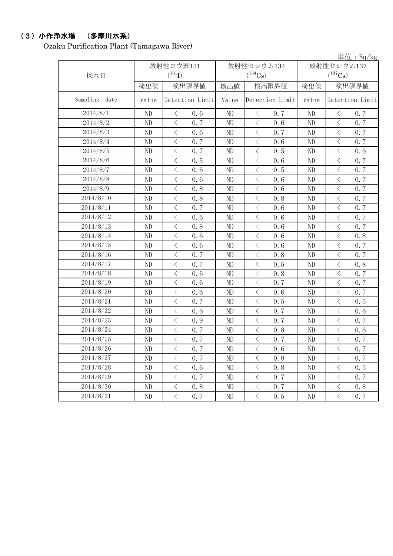### (3)小作浄水場 (多摩川水系)

Ozaku Purification Plant (Tamagawa River)

|                  |          |                       |       |                                                                                                               |            | 単位: $Bq/kg$                                     |  |
|------------------|----------|-----------------------|-------|---------------------------------------------------------------------------------------------------------------|------------|-------------------------------------------------|--|
|                  |          | 放射性ヨウ素131             |       | 放射性セシウム134                                                                                                    | 放射性セシウム137 |                                                 |  |
| 採水日              |          | $(^{131}I)$           |       | $(^{134}Cs)$                                                                                                  |            | $(^{137}Cs)$                                    |  |
|                  | 検出値      | 検出限界値                 | 検出値   | 検出限界値                                                                                                         | 検出値        | 検出限界値                                           |  |
| Sampling<br>date | Value    | Detection Limit       | Value | Detection Limit                                                                                               | Value      | Detection Limit                                 |  |
| 2014/8/1         | ND       | 0.6<br>$\lt$          | ND    | $\langle$<br>0.7                                                                                              | ND         | $\lt$<br>0.7                                    |  |
| 2014/8/2         | ND       | $\,$ $\,$ $\,$<br>0.7 | ND    | $\langle$<br>0.6                                                                                              | ND         | $\langle$<br>0.7                                |  |
| 2014/8/3         | ND       | $\,$ $\,$ $\,$<br>0.6 | ND    | $\langle$<br>0.7                                                                                              | ND         | $\,$ $\,$ $\,$<br>0.7                           |  |
| 2014/8/4         | ND       | $\langle$<br>0.7      | ND    | $\,$ $\,$ $\,$<br>0.6                                                                                         | ND         | $\overline{\left\langle \right\rangle }$<br>0.7 |  |
| 2014/8/5         | ND       | $\langle$<br>0.7      | ND    | $\langle$<br>0.5                                                                                              | ND         | $\langle$<br>0.6                                |  |
| 2014/8/6         | ND       | $\langle$<br>0.5      | ND    | $\langle$<br>0.6                                                                                              | ND         | $\langle$<br>0.7                                |  |
| 2014/8/7         | ND       | $\lt$<br>0.6          | ND    | $\, \big\langle \,$<br>0.5                                                                                    | ND         | $\, \big\langle \,$<br>0.7                      |  |
| 2014/8/8         | ND       | $\langle$<br>0.6      | ND    | $\langle$<br>0.6                                                                                              | ND         | $\langle$<br>0.7                                |  |
| 2014/8/9         | ND       | $\langle$<br>0.8      | ND    | $\langle$<br>0.6                                                                                              | ND         | $\langle$<br>0.7                                |  |
| 2014/8/10        | ND       | $\langle$<br>0.8      | ND    | $\langle$<br>0.8                                                                                              | ND         | $\langle$<br>0.7                                |  |
| 2014/8/11        | ND       | $\langle$<br>0.7      | ND    | $\,$ $\,$ $\,$<br>0.6                                                                                         | ND         | $\overline{\left\langle \right\rangle }$<br>0.7 |  |
| 2014/8/12        | ND       | $\lt$<br>0.6          | ND    | $\hspace{0.1mm}\mathopen{\begin{array}{c}\mathopen{\fbox{$\scriptstyle<\}}\end{array}}\hspace{-0.1mm}$<br>0.6 | ND         | $\,<\,$<br>0.7                                  |  |
| 2014/8/13        | ND       | $\langle$<br>0.8      | ND    | $\langle$<br>0.6                                                                                              | ND         | $\langle$<br>0.7                                |  |
| 2014/8/14        | ND       | $\langle$<br>0.6      | ND    | $\langle$<br>0.6                                                                                              | ND         | $\overline{\left\langle \right\rangle }$<br>0.8 |  |
| 2014/8/15        | ND       | $\lt$<br>0.6          | ND    | $\langle$<br>0.6                                                                                              | ND         | $\lt$<br>0.7                                    |  |
| 2014/8/16        | ND       | $\langle$<br>0.7      | ND    | $\langle$<br>0.8                                                                                              | ND         | $\langle$<br>0.7                                |  |
| 2014/8/17        | ND       | $\langle$<br>0.7      | ND    | $\langle$<br>0.5                                                                                              | ND         | $\,$ $\,$ $\,$<br>0.8                           |  |
| 2014/8/18        | ND       | $\,$ $\,$ $\,$<br>0.6 | ND    | $\,$ $\,$ $\,$<br>0.8                                                                                         | ND         | $\langle$<br>0.7                                |  |
| 2014/8/19        | ND       | $\,$ $\,$ $\,$<br>0.6 | ND    | $\langle$<br>0.7                                                                                              | ND         | $\,$ $\,$ $\,$<br>0.7                           |  |
| 2014/8/20        | ND       | $\langle$<br>0.6      | ND    | $\overline{\left\langle \right\rangle }$<br>0.6                                                               | ND         | $\overline{\left\langle \right\rangle }$<br>0.7 |  |
| 2014/8/21        | ND       | $\langle$<br>0.7      | ND    | $\langle$<br>0.5                                                                                              | ND         | $\langle$<br>0.5                                |  |
| 2014/8/22        | ND       | $\langle$<br>0.6      | ND    | $\langle$<br>0.7                                                                                              | ND         | $\langle$<br>0.6                                |  |
| 2014/8/23        | ND       | $\, < \,$<br>0.9      | ND    | $\langle$<br>0.7                                                                                              | ND         | $\lt$<br>0.7                                    |  |
| 2014/8/24        | ND       | $\langle$<br>0.7      | ND    | $\,$ $\,$ $\,$<br>0.8                                                                                         | ND         | $\,$ $\,$ $\,$<br>0.6                           |  |
| 2014/8/25        | ND       | $\langle$<br>0.7      | ND    | $\langle$<br>0.7                                                                                              | ND         | $\langle$<br>0.7                                |  |
| 2014/8/26        | ND       | $\lt$<br>0.7          | ND    | $\lt$<br>0.6                                                                                                  | ND         | $\langle$<br>0.7                                |  |
| 2014/8/27        | ND       | $\langle$<br>0.7      | ND    | $\langle$<br>0.8                                                                                              | ND         | $\, \big\langle \,$<br>0.7                      |  |
| 2014/8/28        | ND       | $\lt$<br>0.6          | ND    | $\, \big\langle \,$<br>0.8                                                                                    | ND         | $\lt$<br>0.5                                    |  |
| 2014/8/29        | $\rm ND$ | $\langle$<br>0.7      | ND    | $\langle$<br>0.7                                                                                              | ND         | $\langle$<br>0.7                                |  |
| 2014/8/30        | ND       | $\langle$<br>0, 8     | ND    | $\langle$<br>0.7                                                                                              | ND         | $\langle$<br>0.8                                |  |
| 2014/8/31        | $\rm ND$ | $\langle$<br>0.7      | ND    | $\langle$<br>0.5                                                                                              | ND         | $\langle$<br>0.7                                |  |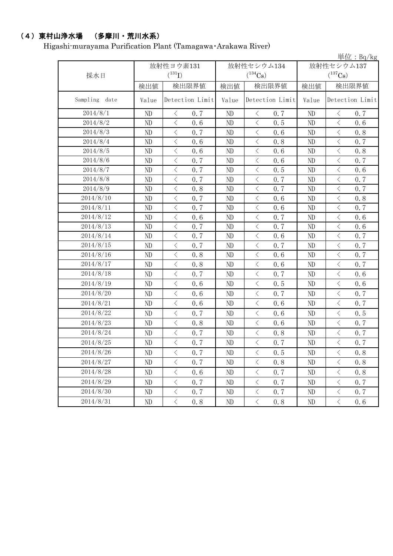# (4)東村山浄水場 (多摩川・荒川水系)

Higashi-murayama Purification Plant (Tamagawa・Arakawa River)

|                  |          |                                          |       |          |                                          |       |            |                             | 単位: $Bq/kg$ |  |
|------------------|----------|------------------------------------------|-------|----------|------------------------------------------|-------|------------|-----------------------------|-------------|--|
|                  |          | 放射性ヨウ素131                                |       |          | 放射性セシウム134                               |       | 放射性セシウム137 |                             |             |  |
| 採水日              |          | $(^{131}I)$                              |       |          | $(^{134}\mathrm{Cs})$                    |       |            | $(^{137}\mathrm{Cs})$       |             |  |
|                  | 検出値      |                                          | 検出限界値 | 検出値      |                                          | 検出限界値 | 検出値        | 検出限界値                       |             |  |
| Sampling<br>date | Value    | Detection Limit                          |       | Value    | Detection Limit                          |       | Value      | Detection Limit             |             |  |
| 2014/8/1         | ND       | $\langle$                                | 0.7   | ND       | $\lt$                                    | 0.7   | ND         | $\langle$                   | 0.7         |  |
| 2014/8/2         | ND       | $\lt$                                    | 0.6   | ND       | $\, \big\langle \,$                      | 0.5   | ND         | $\lt$                       | 0.6         |  |
| 2014/8/3         | ND       | $\langle$                                | 0.7   | ND       | $\overline{\left\langle \right\rangle }$ | 0.6   | ND         | $\langle$                   | 0.8         |  |
| 2014/8/4         | ND       | $\langle$                                | 0.6   | $\rm ND$ | $\langle$                                | 0.8   | ND         | $\langle$                   | 0.7         |  |
| 2014/8/5         | ND       | $\langle$                                | 0.6   | ND       | $\langle$                                | 0.6   | ND         | $\langle$                   | 0.8         |  |
| 2014/8/6         | ND       | $\langle$                                | 0.7   | $\rm ND$ | $\langle$                                | 0.6   | ND         | $\lt$                       | 0.7         |  |
| 2014/8/7         | ND       | $\,$ $\,$ $\,$                           | 0.7   | ND       | $\,$ $\,$ $\,$                           | 0.5   | ND         | $\,$ $\,$ $\,$              | 0.6         |  |
| 2014/8/8         | ND       | $\langle$                                | 0.7   | ND       | $\langle$                                | 0.7   | ND         | $\langle$                   | 0.7         |  |
| 2014/8/9         | ND       | $\,$ $\,$ $\,$                           | 0.8   | $\rm ND$ | $\langle$                                | 0.7   | ND         | $\,$ $\,$ $\,$              | 0.7         |  |
| 2014/8/10        | ND       | $\lt$                                    | 0.7   | ND       | $\langle$                                | 0.6   | ND         | $\, \leq$                   | 0.8         |  |
| 2014/8/11        | ND       | $\,$ $\,$ $\,$                           | 0.7   | $\rm ND$ | $\lt$                                    | 0.6   | ND         | $\,$ $\,$ $\,$              | 0.7         |  |
| 2014/8/12        | ND       | $\overline{\left\langle \right\rangle }$ | 0.6   | ND       | $\langle$                                | 0.7   | ND         | $\langle$                   | 0.6         |  |
| 2014/8/13        | ND       | $\,$ $\,$ $\,$                           | 0.7   | ND       | $\,$ $\,$ $\,$                           | 0.7   | ND         | $\,$ $\,$ $\,$              | 0.6         |  |
| 2014/8/14        | ND       | $\overline{\left\langle \right\rangle }$ | 0.7   | ND       | $\langle$                                | 0.6   | ND         | $\hspace{0.1cm}\big\langle$ | 0.7         |  |
| 2014/8/15        | ND       | $\,$ $\,$ $\,$                           | 0.7   | $\rm ND$ | $\langle$                                | 0.7   | ND         | $\,$ $\,$ $\,$              | 0.7         |  |
| 2014/8/16        | ND       | $\lt$                                    | 0.8   | ND       | $\langle$                                | 0.6   | ND         | $\lt$                       | 0.7         |  |
| 2014/8/17        | ND       | $\langle$                                | 0.8   | $\rm ND$ | $\langle$                                | 0.6   | ND         | $\langle$                   | 0.7         |  |
| 2014/8/18        | ND       | $\langle$                                | 0.7   | ND       | $\langle$                                | 0.7   | ND         | $\,$ $\,$ $\,$              | 0.6         |  |
| 2014/8/19        | ND       | $\,$ $\,$ $\,$                           | 0.6   | ND       | $\langle$                                | 0.5   | ND         | $\,$ $\,$ $\,$              | 0.6         |  |
| 2014/8/20        | ND       | $\lt$                                    | 0.6   | ND       | $\langle$                                | 0.7   | ND         | $\langle$                   | 0.7         |  |
| 2014/8/21        | ND       | $\langle$                                | 0.6   | ND       | $\langle$                                | 0.6   | ND         | $\,$ $\,$ $\,$              | 0.7         |  |
| 2014/8/22        | ND       | $\langle$                                | 0.7   | ND       | $\langle$                                | 0.6   | ND         | $\, \leq$                   | 0.5         |  |
| 2014/8/23        | ND       | $\langle$                                | 0.8   | ND       | $\langle$                                | 0.6   | ND         | $\,$ $\,$ $\,$              | 0.7         |  |
| 2014/8/24        | ND       | $\, <\,$                                 | 0.7   | ND       | $\langle$                                | 0.8   | ND         | $\, <\,$                    | 0.7         |  |
| 2014/8/25        | ND       | $\langle$                                | 0.7   | ND       | $\langle$                                | 0.7   | ND         | $\,$ $\,$ $\,$              | 0.7         |  |
| 2014/8/26        | ND       | $\langle$                                | 0.7   | ND       | $\langle$                                | 0.5   | ND         | $\langle$                   | 0.8         |  |
| 2014/8/27        | ND       | $\lt$                                    | 0.7   | $\rm ND$ | $\hspace{0.1mm}\big\langle$              | 0.8   | $\rm ND$   | $\, <\,$                    | 0.8         |  |
| 2014/8/28        | ND       | $\, <\,$                                 | 0.6   | ND       | $\, \big\langle \,$                      | 0.7   | ND         | $\, \leq$                   | 0.8         |  |
| 2014/8/29        | ND       | $\, <\,$                                 | 0.7   | $\rm ND$ | $\langle$                                | 0.7   | ND         | $\langle$                   | 0.7         |  |
| 2014/8/30        | ND       | $\, \big\langle \,$                      | 0.7   | ND       | $\big\langle$                            | 0.7   | ND         | $\langle$                   | 0.7         |  |
| 2014/8/31        | $\rm ND$ | $\overline{\left\langle \right\rangle }$ | 0.8   | ND       | $\langle$                                | 0.8   | $\rm ND$   | $\langle$                   | 0.6         |  |
|                  |          |                                          |       |          |                                          |       |            |                             |             |  |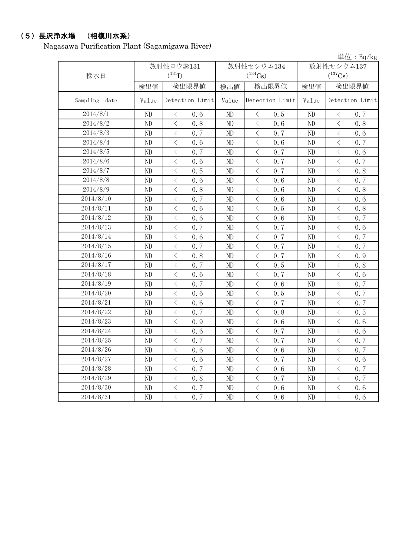# (5)長沢浄水場 (相模川水系)

Nagasawa Purification Plant (Sagamigawa River)

|                  |          |                                                  |          |                       |                | 単位: $Bq/kg$                             |  |
|------------------|----------|--------------------------------------------------|----------|-----------------------|----------------|-----------------------------------------|--|
|                  |          | 放射性ヨウ素131                                        |          | 放射性セシウム134            | 放射性セシウム137     |                                         |  |
| 採水日              |          | $(^{131}I)$                                      |          | $(^{134}\mathrm{Cs})$ |                | $(^{137}\mathrm{Cs})$                   |  |
|                  | 検出値      | 検出限界値                                            | 検出値      | 検出限界値                 | 検出値            | 検出限界値                                   |  |
| Sampling<br>date | Value    | Detection Limit                                  | Value    | Detection Limit       | Value          | Detection Limit                         |  |
| 2014/8/1         | ND       | $\lt$<br>0, 6                                    | ND       | $\langle$<br>0.5      | ND             | $\langle$<br>0.7                        |  |
| 2014/8/2         | ND       | $\lt$<br>0.8                                     | ND       | $\langle$<br>0.6      | ND             | $\langle$<br>0.8                        |  |
| 2014/8/3         | ND       | $\lt$<br>0.7                                     | ND       | $\langle$<br>0.7      | ND             | $\langle$<br>0.6                        |  |
| 2014/8/4         | ND       | $\langle$<br>0.6                                 | ND       | $\langle$<br>0.6      | ND             | $\langle$<br>0.7                        |  |
| 2014/8/5         | ND       | $\langle$<br>0.7                                 | ND       | $\langle$<br>0.7      | ND             | $\langle$<br>0.6                        |  |
| 2014/8/6         | ND       | $\langle$<br>0.6                                 | ND       | $\langle$<br>0.7      | ND             | $\lt$<br>0.7                            |  |
| 2014/8/7         | ND       | $\lt$<br>0.5                                     | ND       | $\lt$<br>0.7          | N <sub>D</sub> | $\lt$<br>0.8                            |  |
| 2014/8/8         | ND       | $\,$ $\,$ $\,$<br>0.6                            | ND       | $\langle$<br>0.6      | ND             | $\langle$<br>0.7                        |  |
| 2014/8/9         | ND       | $\langle$<br>0.8                                 | ND       | $\langle$<br>0.6      | ND             | $\langle$<br>0.8                        |  |
| 2014/8/10        | ND       | $\langle$<br>0, 7                                | ND       | $\lt$<br>0.6          | N <sub>D</sub> | $\,$ $\,$ $\,$<br>0.6                   |  |
| 2014/8/11        | ND       | $\lt$<br>0.6                                     | ND       | 0.5<br>$\langle$      | ND             | $\lt$<br>0.8                            |  |
| 2014/8/12        | ND       | $\,$ $\,$ $\,$<br>0.6                            | ND       | $\,$ $\,$ $\,$<br>0.6 | ND             | $\langle$<br>0.7                        |  |
| 2014/8/13        | ND       | $\lt$<br>0.7                                     | ND       | $\langle$<br>0.7      | ND             | $\langle$<br>0.6                        |  |
| 2014/8/14        | ND       | $\langle$<br>0.6                                 | ND       | $\langle$<br>0, 7     | ND             | $\hspace{0.1mm} <\hspace{0.1mm}$<br>0.7 |  |
| 2014/8/15        | ND       | $\langle$<br>0, 7                                | ND       | 0.7<br>$\langle$      | ND             | $\,$ $\,$ $\,$<br>0.7                   |  |
| 2014/8/16        | ND       | $\lt$<br>0.8                                     | ND       | $\langle$<br>0.7      | ND             | $\langle$<br>0.9                        |  |
| 2014/8/17        | ND       | $\langle$<br>0.7                                 | ND       | $\,$ $\,$ $\,$<br>0.5 | ND             | $\langle$<br>0.8                        |  |
| 2014/8/18        | ND       | $\lt$<br>0.6                                     | ND       | $\langle$<br>0.7      | ND             | $\,$ $\,$ $\,$<br>0.6                   |  |
| 2014/8/19        | ND       | $\,$ $\,$ $\,$<br>0.7                            | ND       | $\langle$<br>0.6      | ND             | $\,$ $\,$ $\,$<br>0.7                   |  |
| 2014/8/20        | ND       | $\lt$<br>0, 6                                    | ND       | $\lt$<br>0.5          | ND             | $\lt$<br>0.7                            |  |
| 2014/8/21        | ND       | $\langle$<br>0.6                                 | ND       | $\langle$<br>0.7      | ND             | $\langle$<br>0.7                        |  |
| 2014/8/22        | ND       | $\lt$<br>0.7                                     | ND       | $\langle$<br>0.8      | ND             | $\langle$<br>0.5                        |  |
| 2014/8/23        | ND       | $\lt$<br>0.9                                     | ND       | $\lt$<br>0.6          | N <sub>D</sub> | $\hspace{0.1mm} <\hspace{0.1mm}$<br>0.6 |  |
| 2014/8/24        | ND       | $\lt$<br>0.6                                     | ND       | $\langle$<br>0.7      | ND             | $\lt$<br>0.6                            |  |
| 2014/8/25        | ND       | $\,$ $\,$ $\,$<br>0.7                            | ND       | $\,$ $\,$ $\,$<br>0.7 | ND             | $\langle$<br>0.7                        |  |
| 2014/8/26        | $\rm ND$ | 0.6<br>$\langle$                                 | $\rm ND$ | 0.6<br>$\langle$      | $\rm ND$       | $\bigl\langle$<br>0.7                   |  |
| 2014/8/27        | ND       | $\langle$<br>0.6                                 | ND       | $\langle$<br>0.7      | ND             | $\langle$<br>0.6                        |  |
| 2014/8/28        | ND       | $\lt$<br>0.7                                     | ND       | $\lt$<br>0.6          | ND             | $\lt$<br>0.7                            |  |
| 2014/8/29        | $\rm ND$ | $\langle$<br>0.8                                 | ND       | $\langle$<br>0.7      | $\rm ND$       | $\langle$<br>0.7                        |  |
| 2014/8/30        | ND       | $\overline{\left\langle \right\rangle }$<br>0, 7 | ND       | $\langle$<br>0.6      | ND             | $\langle$<br>0.6                        |  |
| 2014/8/31        | $\rm ND$ | $\langle$<br>0, 7                                | ND       | $\langle$<br>0.6      | ND             | $\langle$<br>0.6                        |  |